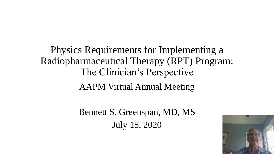Physics Requirements for Implementing a Radiopharmaceutical Therapy (RPT) Program: The Clinician's Perspective AAPM Virtual Annual Meeting

> Bennett S. Greenspan, MD, MS July 15, 2020

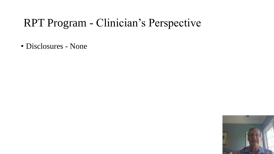#### RPT Program - Clinician's Perspective

• Disclosures - None

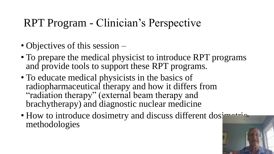# RPT Program - Clinician's Perspective

- Objectives of this session –
- To prepare the medical physicist to introduce RPT programs and provide tools to support these RPT programs.
- To educate medical physicists in the basics of radiopharmaceutical therapy and how it differs from "radiation therapy" (external beam therapy and brachytherapy) and diagnostic nuclear medicine
- How to introduce dosimetry and discuss different dosimation methodologies

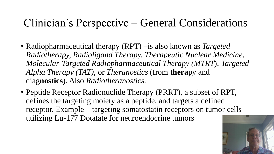#### Clinician's Perspective – General Considerations

- Radiopharmaceutical therapy (RPT) –is also known as *Targeted Radiotherapy, Radioligand Therapy, Therapeutic Nuclear Medicine, Molecular-Targeted Radiopharmaceutical Therapy (MTRT*), *Targeted Alpha Therapy (TAT),* or *Theranostics* (from **thera**py and diag**nostics**). Also *Radiotheranostics.*
- Peptide Receptor Radionuclide Therapy (PRRT), a subset of RPT, defines the targeting moiety as a peptide, and targets a defined receptor. Example – targeting somatostatin receptors on tumor cells – utilizing Lu-177 Dotatate for neuroendocrine tumors

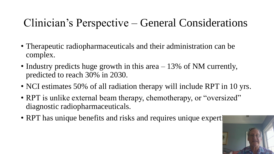## Clinician's Perspective – General Considerations

- Therapeutic radiopharmaceuticals and their administration can be complex.
- Industry predicts huge growth in this area 13% of NM currently, predicted to reach 30% in 2030.
- NCI estimates 50% of all radiation therapy will include RPT in 10 yrs.
- RPT is unlike external beam therapy, chemotherapy, or "oversized" diagnostic radiopharmaceuticals.
- RPT has unique benefits and risks and requires unique experti

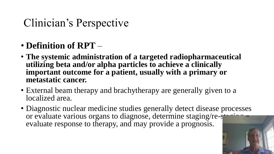- **Definition of RPT** –
- **The systemic administration of a targeted radiopharmaceutical utilizing beta and/or alpha particles to achieve a clinically important outcome for a patient, usually with a primary or metastatic cancer.**
- External beam therapy and brachytherapy are generally given to a localized area.
- Diagnostic nuclear medicine studies generally detect disease processes or evaluate various organs to diagnose, determine staging/re-staging, evaluate response to therapy, and may provide a prognosis.

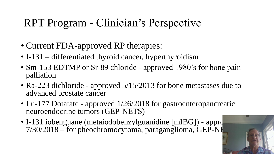# RPT Program - Clinician's Perspective

- Current FDA-approved RP therapies:
- I-131 differentiated thyroid cancer, hyperthyroidism
- Sm-153 EDTMP or Sr-89 chloride approved 1980's for bone pain palliation
- Ra-223 dichloride approved 5/15/2013 for bone metastases due to advanced prostate cancer
- Lu-177 Dotatate approved 1/26/2018 for gastroenteropancreatic neuroendocrine tumors (GEP-NETS)
- I-131 iobenguane (metaiodobenzylguanidine  $[mIBG]$ ) appro  $7/30/2018$  – for pheochromocytoma, paraganglioma, GEP-NI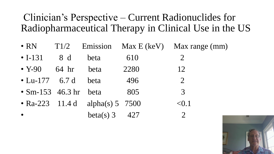#### Clinician's Perspective – Current Radionuclides for Radiopharmaceutical Therapy in Clinical Use in the US

- RN T1/2 Emission Max E (keV) Max range (mm)
- $I-131$  8 d beta 610 2
- Y-90 64 hr beta 2280 12
- Lu-177 6.7 d beta 496 2
- $Sm-153$  46.3 hr beta 805 3
- Ra-223 11.4 d alpha(s) 5 7500  $< 0.1$
- $beta(s) 3 427 2$

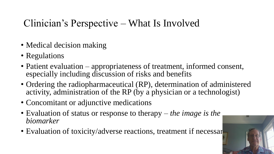#### Clinician's Perspective – What Is Involved

- Medical decision making
- Regulations
- Patient evaluation appropriateness of treatment, informed consent, especially including discussion of risks and benefits
- Ordering the radiopharmaceutical (RP), determination of administered activity, administration of the RP (by a physician or a technologist)
- Concomitant or adjunctive medications
- Evaluation of status or response to therapy *the image is the biomarker*
- Evaluation of toxicity/adverse reactions, treatment if necessar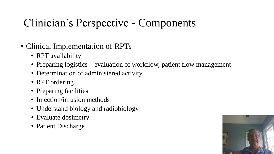# Clinician's Perspective - Components

- Clinical Implementation of RPTs
	- RPT availability
	- Preparing logistics evaluation of workflow, patient flow management
	- Determination of administered activity
	- RPT ordering
	- Preparing facilities
	- Injection/infusion methods
	- Understand biology and radiobiology
	- Evaluate dosimetry
	- Patient Discharge

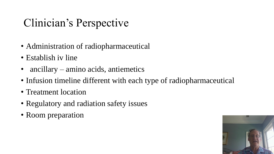- Administration of radiopharmaceutical
- Establish iv line
- ancillary amino acids, antiemetics
- Infusion timeline different with each type of radiopharmaceutical
- Treatment location
- Regulatory and radiation safety issues
- Room preparation

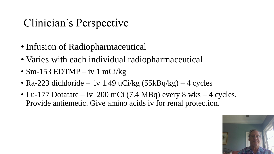- Infusion of Radiopharmaceutical
- Varies with each individual radiopharmaceutical
- Sm-153 EDTMP iv 1 mCi/kg
- Ra-223 dichloride iv 1.49 uCi/kg  $(55kBq/kg)$  4 cycles
- Lu-177 Dotatate iv 200 mCi (7.4 MBq) every 8 wks 4 cycles. Provide antiemetic. Give amino acids iv for renal protection.

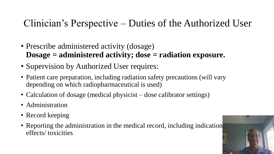#### Clinician's Perspective – Duties of the Authorized User

- Prescribe administered activity (dosage) **Dosage = administered activity; dose = radiation exposure.**
- Supervision by Authorized User requires:
- Patient care preparation, including radiation safety precautions (will vary depending on which radiopharmaceutical is used)
- Calculation of dosage (medical physicist dose calibrator settings)
- Administration
- Record keeping
- Reporting the administration in the medical record, including indication effects/ toxicities

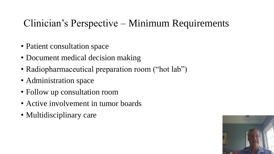#### Clinician's Perspective – Minimum Requirements

- Patient consultation space
- Document medical decision making
- Radiopharmaceutical preparation room ("hot lab")
- Administration space
- Follow up consultation room
- Active involvement in tumor boards
- Multidisciplinary care

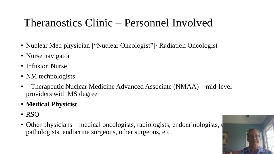# Theranostics Clinic – Personnel Involved

- Nuclear Med physician ["Nuclear Oncologist"]/ Radiation Oncologist
- Nurse navigator
- Infusion Nurse
- NM technologists
- Therapeutic Nuclear Medicine Advanced Associate (NMAA) mid-level providers with MS degree
- **Medical Physicist**
- RSO
- Other physicians medical oncologists, radiologists, endocrinologists,  $\psi$ pathologists, endocrine surgeons, other surgeons, etc.

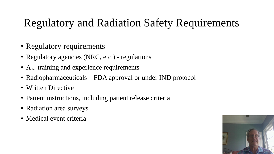# Regulatory and Radiation Safety Requirements

- Regulatory requirements
- Regulatory agencies (NRC, etc.) regulations
- AU training and experience requirements
- Radiopharmaceuticals FDA approval or under IND protocol
- Written Directive
- Patient instructions, including patient release criteria
- Radiation area surveys
- Medical event criteria

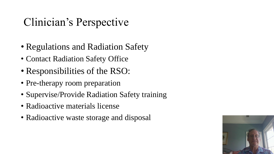- Regulations and Radiation Safety
- Contact Radiation Safety Office
- Responsibilities of the RSO:
- Pre-therapy room preparation
- Supervise/Provide Radiation Safety training
- Radioactive materials license
- Radioactive waste storage and disposal

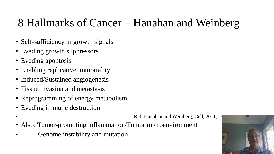## 8 Hallmarks of Cancer – Hanahan and Weinberg

- Self-sufficiency in growth signals
- Evading growth suppressors
- Evading apoptosis
- Enabling replicative immortality
- Induced/Sustained angiogenesis
- Tissue invasion and metastasis
- Reprogramming of energy metabolism
- Evading immune destruction
- Ref: Hanahan and Weinberg, Cell, 2011; 14
- Also: Tumor-promoting inflammation/Tumor microenvironment
- Genome instability and mutation

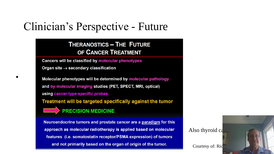#### Clinician's Perspective - Future

#### **THERANOSTICS - THE FUTURE** OF CANCER TREATMENT

Cancers will be classified by molecular phenotypes Organ site  $\rightarrow$  secondary classification

Molecular phenotypes will be determined by molecular pathology and by molecular imaging studies (PET, SPECT, MRI, optical) using cancer type specific probes. Treatment will be targeted specifically against the tumor

**PRECISION MEDICINE** 

•

Neuroendocrine tumors and prostate cancer are a paradigm for this approach as molecular radiotherapy is applied based on molecular features (i.e. somatostatin receptor/PSMA expression) of tumors and not primarily based on the organ of origin of the tumor.

Also thyroid  $c_4$ 

Courtesy of: Ric